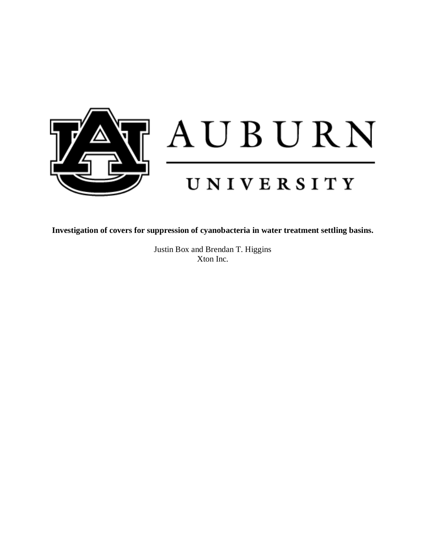

**Investigation of covers for suppression of cyanobacteria in water treatment settling basins.** 

Justin Box and Brendan T. Higgins Xton Inc.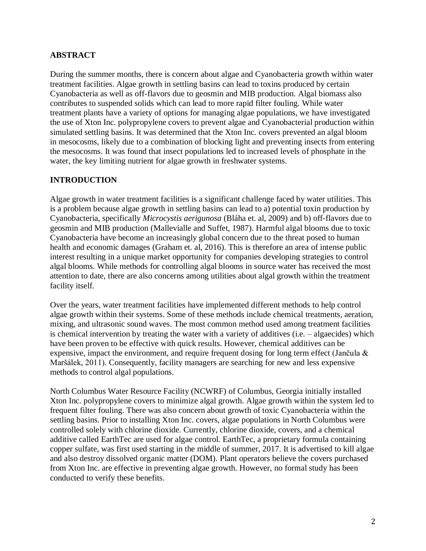# **ABSTRACT**

During the summer months, there is concern about algae and Cyanobacteria growth within water treatment facilities. Algae growth in settling basins can lead to toxins produced by certain Cyanobacteria as well as off-flavors due to geosmin and MIB production. Algal biomass also contributes to suspended solids which can lead to more rapid filter fouling. While water treatment plants have a variety of options for managing algae populations, we have investigated the use of Xton Inc. polypropylene covers to prevent algae and Cyanobacterial production within simulated settling basins. It was determined that the Xton Inc. covers prevented an algal bloom in mesocosms, likely due to a combination of blocking light and preventing insects from entering the mesocosms. It was found that insect populations led to increased levels of phosphate in the water, the key limiting nutrient for algae growth in freshwater systems.

# **INTRODUCTION**

Algae growth in water treatment facilities is a significant challenge faced by water utilities. This is a problem because algae growth in settling basins can lead to a) potential toxin production by Cyanobacteria, specifically *Microcystis aerigunosa* (Bláha et. al, 2009) and b) off-flavors due to geosmin and MIB production (Mallevialle and Suffet, 1987). Harmful algal blooms due to toxic Cyanobacteria have become an increasingly global concern due to the threat posed to human health and economic damages (Graham et. al, 2016). This is therefore an area of intense public interest resulting in a unique market opportunity for companies developing strategies to control algal blooms. While methods for controlling algal blooms in source water has received the most attention to date, there are also concerns among utilities about algal growth within the treatment facility itself.

Over the years, water treatment facilities have implemented different methods to help control algae growth within their systems. Some of these methods include chemical treatments, aeration, mixing, and ultrasonic sound waves. The most common method used among treatment facilities is chemical intervention by treating the water with a variety of additives (i.e. – algaecides) which have been proven to be effective with quick results. However, chemical additives can be expensive, impact the environment, and require frequent dosing for long term effect (Jančula & Maršálek, 2011). Consequently, facility managers are searching for new and less expensive methods to control algal populations.

North Columbus Water Resource Facility (NCWRF) of Columbus, Georgia initially installed Xton Inc. polypropylene covers to minimize algal growth. Algae growth within the system led to frequent filter fouling. There was also concern about growth of toxic Cyanobacteria within the settling basins. Prior to installing Xton Inc. covers, algae populations in North Columbus were controlled solely with chlorine dioxide. Currently, chlorine dioxide, covers, and a chemical additive called EarthTec are used for algae control. EarthTec, a proprietary formula containing copper sulfate, was first used starting in the middle of summer, 2017. It is advertised to kill algae and also destroy dissolved organic matter (DOM). Plant operators believe the covers purchased from Xton Inc. are effective in preventing algae growth. However, no formal study has been conducted to verify these benefits.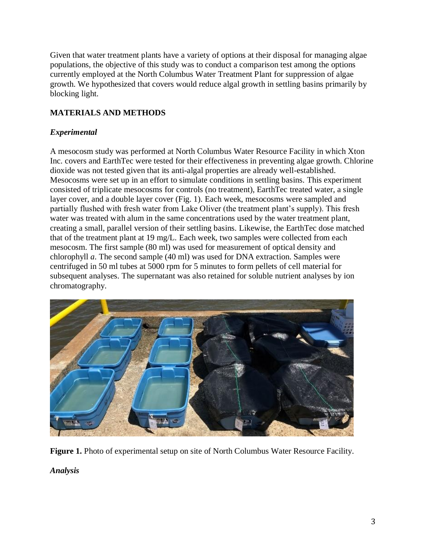Given that water treatment plants have a variety of options at their disposal for managing algae populations, the objective of this study was to conduct a comparison test among the options currently employed at the North Columbus Water Treatment Plant for suppression of algae growth. We hypothesized that covers would reduce algal growth in settling basins primarily by blocking light.

# **MATERIALS AND METHODS**

## *Experimental*

A mesocosm study was performed at North Columbus Water Resource Facility in which Xton Inc. covers and EarthTec were tested for their effectiveness in preventing algae growth. Chlorine dioxide was not tested given that its anti-algal properties are already well-established. Mesocosms were set up in an effort to simulate conditions in settling basins. This experiment consisted of triplicate mesocosms for controls (no treatment), EarthTec treated water, a single layer cover, and a double layer cover (Fig. 1). Each week, mesocosms were sampled and partially flushed with fresh water from Lake Oliver (the treatment plant's supply). This fresh water was treated with alum in the same concentrations used by the water treatment plant, creating a small, parallel version of their settling basins. Likewise, the EarthTec dose matched that of the treatment plant at 19 mg/L. Each week, two samples were collected from each mesocosm. The first sample (80 ml) was used for measurement of optical density and chlorophyll *a*. The second sample (40 ml) was used for DNA extraction. Samples were centrifuged in 50 ml tubes at 5000 rpm for 5 minutes to form pellets of cell material for subsequent analyses. The supernatant was also retained for soluble nutrient analyses by ion chromatography.



**Figure 1.** Photo of experimental setup on site of North Columbus Water Resource Facility. *Analysis*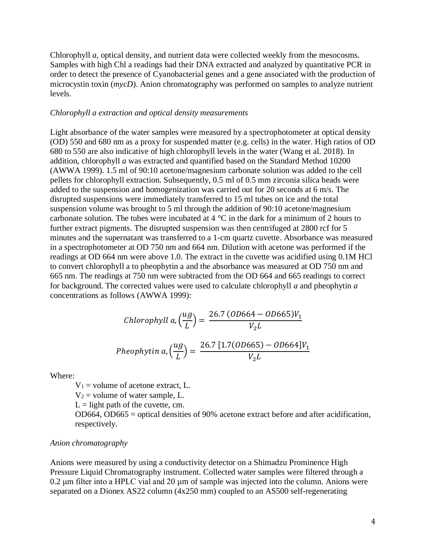Chlorophyll *a*, optical density, and nutrient data were collected weekly from the mesocosms. Samples with high Chl a readings had their DNA extracted and analyzed by quantitative PCR in order to detect the presence of Cyanobacterial genes and a gene associated with the production of microcystin toxin (*mycD*). Anion chromatography was performed on samples to analyze nutrient levels.

#### *Chlorophyll a extraction and optical density measurements*

Light absorbance of the water samples were measured by a spectrophotometer at optical density (OD) 550 and 680 nm as a proxy for suspended matter (e.g. cells) in the water. High ratios of OD 680 to 550 are also indicative of high chlorophyll levels in the water (Wang et al. 2018). In addition, chlorophyll *a* was extracted and quantified based on the Standard Method 10200 (AWWA 1999). 1.5 ml of 90:10 acetone/magnesium carbonate solution was added to the cell pellets for chlorophyll extraction. Subsequently, 0.5 ml of 0.5 mm zirconia silica beads were added to the suspension and homogenization was carried out for 20 seconds at 6 m/s. The disrupted suspensions were immediately transferred to 15 ml tubes on ice and the total suspension volume was brought to 5 ml through the addition of 90:10 acetone/magnesium carbonate solution. The tubes were incubated at 4 °C in the dark for a minimum of 2 hours to further extract pigments. The disrupted suspension was then centrifuged at 2800 rcf for 5 minutes and the supernatant was transferred to a 1-cm quartz cuvette. Absorbance was measured in a spectrophotometer at OD 750 nm and 664 nm. Dilution with acetone was performed if the readings at OD 664 nm were above 1.0. The extract in the cuvette was acidified using 0.1M HCl to convert chlorophyll a to pheophytin a and the absorbance was measured at OD 750 nm and 665 nm. The readings at 750 nm were subtracted from the OD 664 and 665 readings to correct for background. The corrected values were used to calculate chlorophyll *a* and pheophytin *a* concentrations as follows (AWWA 1999):

ℎℎ , ( ) = 26.7 (664 − 665)<sup>1</sup> 2 ℎℎ , ( ) = 26.7 [1.7(665) − 664]<sup>1</sup> 2

Where:

 $V_1$  = volume of acetone extract, L.

 $V_2$  = volume of water sample, L.

 $L =$  light path of the cuvette, cm.

OD664, OD665 = optical densities of 90% acetone extract before and after acidification, respectively.

#### *Anion chromatography*

Anions were measured by using a conductivity detector on a Shimadzu Prominence High Pressure Liquid Chromatography instrument. Collected water samples were filtered through a  $0.2 \mu$ m filter into a HPLC vial and  $20 \mu$ m of sample was injected into the column. Anions were separated on a Dionex AS22 column (4x250 mm) coupled to an AS500 self-regenerating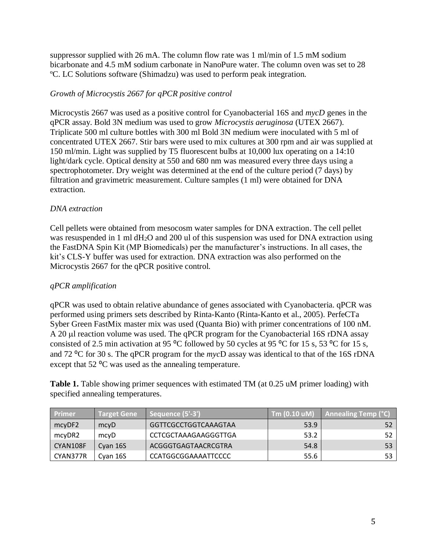suppressor supplied with 26 mA. The column flow rate was 1 ml/min of 1.5 mM sodium bicarbonate and 4.5 mM sodium carbonate in NanoPure water. The column oven was set to 28 ºC. LC Solutions software (Shimadzu) was used to perform peak integration.

# *Growth of Microcystis 2667 for qPCR positive control*

Microcystis 2667 was used as a positive control for Cyanobacterial 16S and *mycD* genes in the qPCR assay. Bold 3N medium was used to grow *Microcystis aeruginosa* (UTEX 2667). Triplicate 500 ml culture bottles with 300 ml Bold 3N medium were inoculated with 5 ml of concentrated UTEX 2667. Stir bars were used to mix cultures at 300 rpm and air was supplied at 150 ml/min. Light was supplied by T5 fluorescent bulbs at 10,000 lux operating on a 14:10 light/dark cycle. Optical density at 550 and 680 nm was measured every three days using a spectrophotometer. Dry weight was determined at the end of the culture period (7 days) by filtration and gravimetric measurement. Culture samples (1 ml) were obtained for DNA extraction.

# *DNA extraction*

Cell pellets were obtained from mesocosm water samples for DNA extraction. The cell pellet was resuspended in 1 ml dH2O and 200 ul of this suspension was used for DNA extraction using the FastDNA Spin Kit (MP Biomedicals) per the manufacturer's instructions. In all cases, the kit's CLS-Y buffer was used for extraction. DNA extraction was also performed on the Microcystis 2667 for the qPCR positive control.

# *qPCR amplification*

qPCR was used to obtain relative abundance of genes associated with Cyanobacteria. qPCR was performed using primers sets described by Rinta-Kanto (Rinta-Kanto et al., 2005). PerfeCTa Syber Green FastMix master mix was used (Quanta Bio) with primer concentrations of 100 nM. A 20 µl reaction volume was used. The qPCR program for the Cyanobacterial 16S rDNA assay consisted of 2.5 min activation at 95  $^{\circ}$ C followed by 50 cycles at 95  $^{\circ}$ C for 15 s, 53  $^{\circ}$ C for 15 s, and 72 ⁰C for 30 s. The qPCR program for the *myc*D assay was identical to that of the 16S rDNA except that  $52 \text{ °C}$  was used as the annealing temperature.

**Table 1.** Table showing primer sequences with estimated TM (at 0.25 uM primer loading) with specified annealing temperatures.

| Primer   | <b>Target Gene</b> | Sequence (5'-3')     | $\sqrt{7}$ m (0.10 uM) | Annealing Temp (°C) |
|----------|--------------------|----------------------|------------------------|---------------------|
| mcyDF2   | mcyD               | GGTTCGCCTGGTCAAAGTAA | 53.9                   | 52                  |
| mcyDR2   | mcyD               | CCTCGCTAAAGAAGGGTTGA | 53.2                   | 52                  |
| CYAN108F | Cyan 16S           | ACGGGTGAGTAACRCGTRA  | 54.8                   | 53                  |
| CYAN377R | Cvan 16S           | CCATGGCGGAAAATTCCCC  | 55.6                   | 53                  |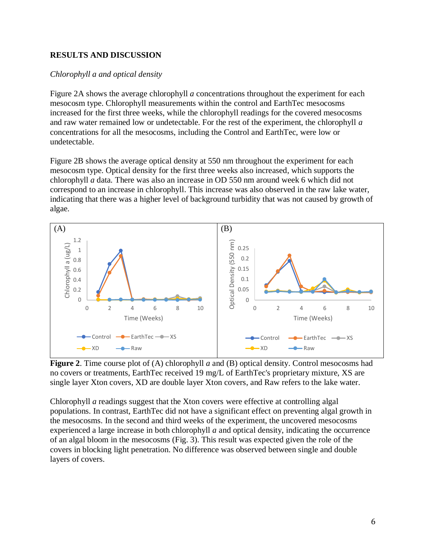# **RESULTS AND DISCUSSION**

#### *Chlorophyll a and optical density*

Figure 2A shows the average chlorophyll *a* concentrations throughout the experiment for each mesocosm type. Chlorophyll measurements within the control and EarthTec mesocosms increased for the first three weeks, while the chlorophyll readings for the covered mesocosms and raw water remained low or undetectable. For the rest of the experiment, the chlorophyll *a* concentrations for all the mesocosms, including the Control and EarthTec, were low or undetectable.

Figure 2B shows the average optical density at 550 nm throughout the experiment for each mesocosm type. Optical density for the first three weeks also increased, which supports the chlorophyll *a* data. There was also an increase in OD 550 nm around week 6 which did not correspond to an increase in chlorophyll. This increase was also observed in the raw lake water, indicating that there was a higher level of background turbidity that was not caused by growth of algae.



**Figure 2**. Time course plot of (A) chlorophyll *a* and (B) optical density. Control mesocosms had no covers or treatments, EarthTec received 19 mg/L of EarthTec's proprietary mixture, XS are single layer Xton covers, XD are double layer Xton covers, and Raw refers to the lake water.

Chlorophyll *a* readings suggest that the Xton covers were effective at controlling algal populations. In contrast, EarthTec did not have a significant effect on preventing algal growth in the mesocosms. In the second and third weeks of the experiment, the uncovered mesocosms experienced a large increase in both chlorophyll *a* and optical density, indicating the occurrence of an algal bloom in the mesocosms (Fig. 3). This result was expected given the role of the covers in blocking light penetration. No difference was observed between single and double layers of covers.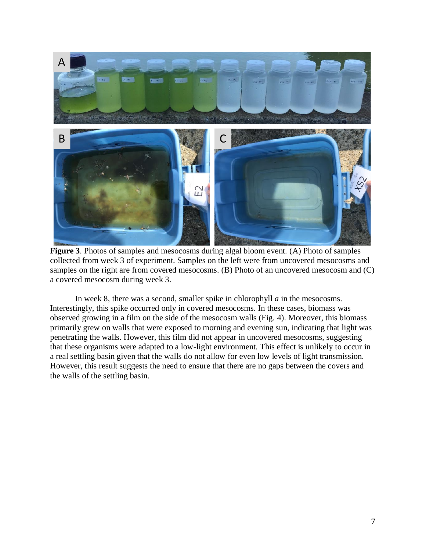

**Figure 3**. Photos of samples and mesocosms during algal bloom event. (A) Photo of samples collected from week 3 of experiment. Samples on the left were from uncovered mesocosms and samples on the right are from covered mesocosms. (B) Photo of an uncovered mesocosm and (C) a covered mesocosm during week 3.

In week 8, there was a second, smaller spike in chlorophyll *a* in the mesocosms. Interestingly, this spike occurred only in covered mesocosms. In these cases, biomass was observed growing in a film on the side of the mesocosm walls (Fig. 4). Moreover, this biomass primarily grew on walls that were exposed to morning and evening sun, indicating that light was penetrating the walls. However, this film did not appear in uncovered mesocosms, suggesting that these organisms were adapted to a low-light environment. This effect is unlikely to occur in a real settling basin given that the walls do not allow for even low levels of light transmission. However, this result suggests the need to ensure that there are no gaps between the covers and the walls of the settling basin.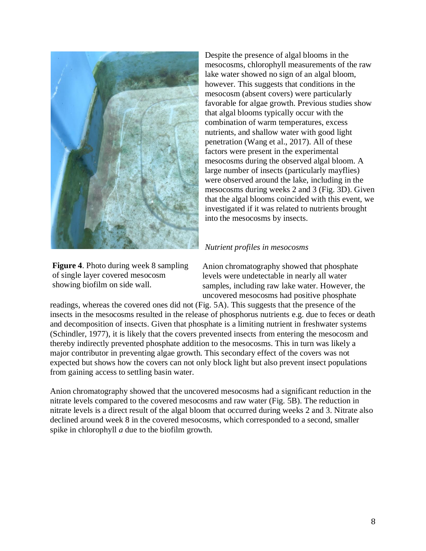

**Figure 4**. Photo during week 8 sampling of single layer covered mesocosm showing biofilm on side wall.

Despite the presence of algal blooms in the mesocosms, chlorophyll measurements of the raw lake water showed no sign of an algal bloom, however. This suggests that conditions in the mesocosm (absent covers) were particularly favorable for algae growth. Previous studies show that algal blooms typically occur with the combination of warm temperatures, excess nutrients, and shallow water with good light penetration (Wang et al., 2017). All of these factors were present in the experimental mesocosms during the observed algal bloom. A large number of insects (particularly mayflies) were observed around the lake, including in the mesocosms during weeks 2 and 3 (Fig. 3D). Given that the algal blooms coincided with this event, we investigated if it was related to nutrients brought into the mesocosms by insects.

#### *Nutrient profiles in mesocosms*

Anion chromatography showed that phosphate levels were undetectable in nearly all water samples, including raw lake water. However, the uncovered mesocosms had positive phosphate

readings, whereas the covered ones did not (Fig. 5A). This suggests that the presence of the insects in the mesocosms resulted in the release of phosphorus nutrients e.g. due to feces or death and decomposition of insects. Given that phosphate is a limiting nutrient in freshwater systems (Schindler, 1977), it is likely that the covers prevented insects from entering the mesocosm and thereby indirectly prevented phosphate addition to the mesocosms. This in turn was likely a major contributor in preventing algae growth. This secondary effect of the covers was not expected but shows how the covers can not only block light but also prevent insect populations from gaining access to settling basin water.

Anion chromatography showed that the uncovered mesocosms had a significant reduction in the nitrate levels compared to the covered mesocosms and raw water (Fig. 5B). The reduction in nitrate levels is a direct result of the algal bloom that occurred during weeks 2 and 3. Nitrate also declined around week 8 in the covered mesocosms, which corresponded to a second, smaller spike in chlorophyll *a* due to the biofilm growth.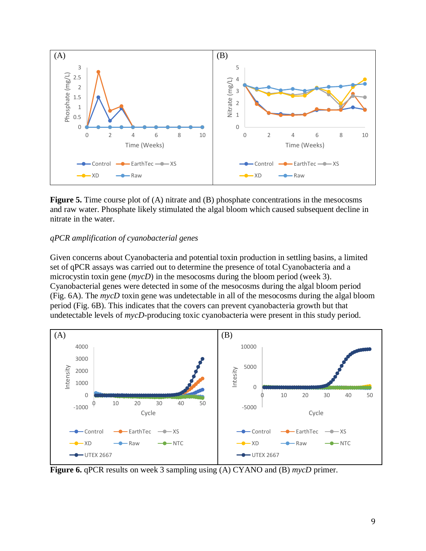

**Figure 5.** Time course plot of (A) nitrate and (B) phosphate concentrations in the mesocosms and raw water. Phosphate likely stimulated the algal bloom which caused subsequent decline in nitrate in the water.

### *qPCR amplification of cyanobacterial genes*

Given concerns about Cyanobacteria and potential toxin production in settling basins, a limited set of qPCR assays was carried out to determine the presence of total Cyanobacteria and a microcystin toxin gene (*mycD*) in the mesocosms during the bloom period (week 3). Cyanobacterial genes were detected in some of the mesocosms during the algal bloom period (Fig. 6A). The *mycD* toxin gene was undetectable in all of the mesocosms during the algal bloom period (Fig. 6B). This indicates that the covers can prevent cyanobacteria growth but that undetectable levels of *mycD*-producing toxic cyanobacteria were present in this study period.



**Figure 6.** qPCR results on week 3 sampling using (A) CYANO and (B) *mycD* primer.